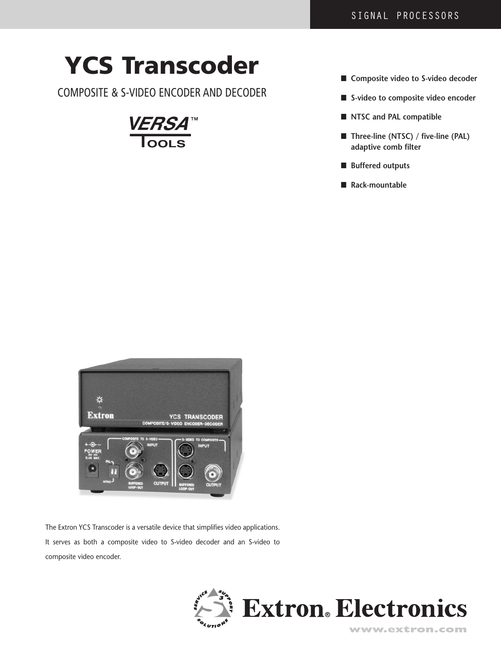# **YCS Transcoder**

COMPOSITE & S-VIDEO ENCODER AND DECODER



- **Composite video to S-video decoder**
- S-video to composite video encoder
- **NTSC** and **PAL** compatible
- **Three-line (NTSC) / five-line (PAL) adaptive comb filter**
- **Buffered outputs**
- **Rack-mountable**



The Extron YCS Transcoder is a versatile device that simplifies video applications. It serves as both a composite video to S-video decoder and an S-video to composite video encoder.